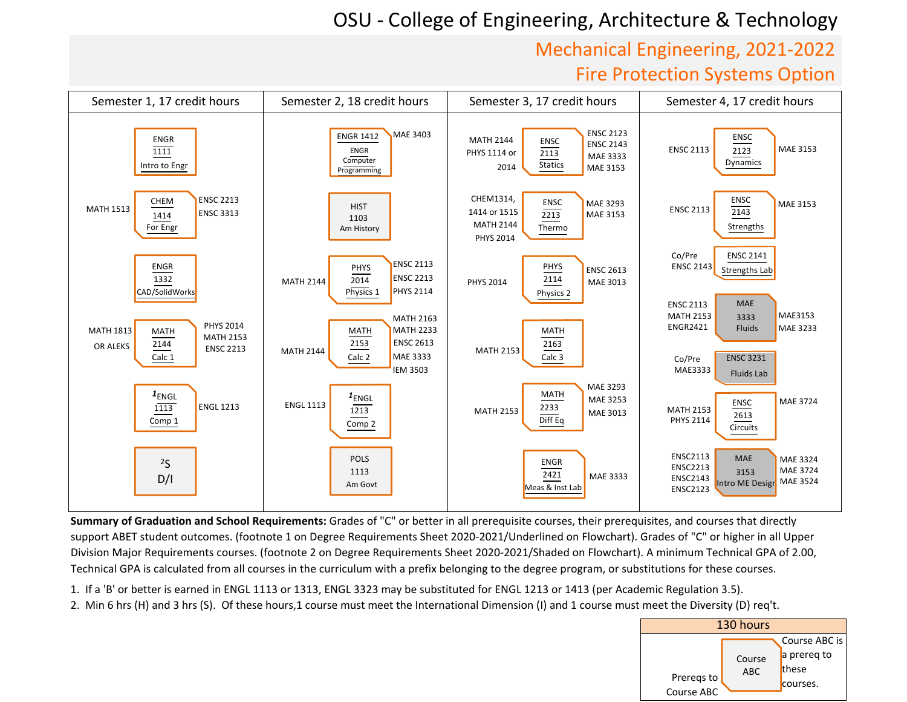## OSU ‐ College of Engineering, Architecture & Technology

## Mechanical Engineering, 2021‐2022Fire Protection Systems Option



**Summary of Graduation and School Requirements:** Grades of "C" or better in all prerequisite courses, their prerequisites, and courses that directly support ABET student outcomes. (footnote 1 on Degree Requirements Sheet 2020-2021/Underlined on Flowchart). Grades of "C" or higher in all Upper Division Major Requirements courses. (footnote 2 on Degree Requirements Sheet 2020-2021/Shaded on Flowchart). A minimum Technical GPA of 2.00, Technical GPA is calculated from all courses in the curriculum with a prefix belonging to the degree program, or substitutions for these courses.

1. If <sup>a</sup> 'B' or better is earned in ENGL <sup>1113</sup> or 1313, ENGL <sup>3323</sup> may be substituted for ENGL <sup>1213</sup> or <sup>1413</sup> (per Academic Regulation 3.5).

2. Min <sup>6</sup> hrs (H) and <sup>3</sup> hrs (S). Of these hours,1 course must meet the International Dimension (I) and <sup>1</sup> course must meet the Diversity (D) req't.